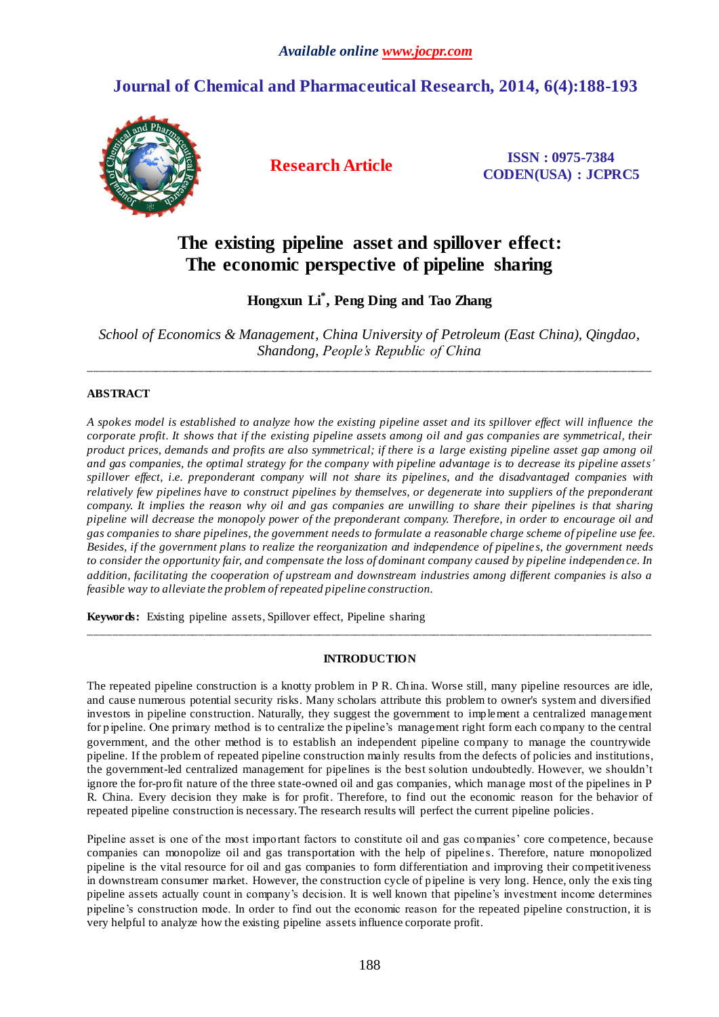## **Journal of Chemical and Pharmaceutical Research, 2014, 6(4):188-193**



**Research Article ISSN : 0975-7384 CODEN(USA) : JCPRC5**

# **The existing pipeline asset and spillover effect: The economic perspective of pipeline sharing**

**Hongxun Li \* , Peng Ding and Tao Zhang**

*School of Economics & Management, China University of Petroleum (East China), Qingdao, Shandong, People's Republic of China*

\_\_\_\_\_\_\_\_\_\_\_\_\_\_\_\_\_\_\_\_\_\_\_\_\_\_\_\_\_\_\_\_\_\_\_\_\_\_\_\_\_\_\_\_\_\_\_\_\_\_\_\_\_\_\_\_\_\_\_\_\_\_\_\_\_\_\_\_\_\_\_\_\_\_\_\_\_\_\_\_\_\_\_\_\_\_\_\_\_\_\_\_\_

## **ABSTRACT**

*A spokes model is established to analyze how the existing pipeline asset and its spillover effect will influence the corporate profit. It shows that if the existing pipeline assets among oil and gas companies are symmetrical, their product prices, demands and profits are also symmetrical; if there is a large existing pipeline asset gap among oil and gas companies, the optimal strategy for the company with pipeline advantage is to decrease its pipeline assets' spillover effect, i.e. preponderant company will not share its pipelines, and the disadvantaged companies with relatively few pipelines have to construct pipelines by themselves, or degenerate into suppliers of the preponderant company. It implies the reason why oil and gas companies are unwilling to share their pipelines is that sharing pipeline will decrease the monopoly power of the preponderant company. Therefore, in order to encourage oil and gas companies to share pipelines, the government needs to formulate a reasonable charge scheme of pipeline use fee. Besides, if the government plans to realize the reorganization and independence of pipeline s, the government needs to consider the opportunity fair, and compensate the loss of dominant company caused by pipeline independen ce. In addition, facilitating the cooperation of upstream and downstream industries among different companies is also a feasible way to alleviate the problem of repeated pipeline construction.*

**Keywords:** Existing pipeline assets, Spillover effect, Pipeline sharing

### **INTRODUCTION**

\_\_\_\_\_\_\_\_\_\_\_\_\_\_\_\_\_\_\_\_\_\_\_\_\_\_\_\_\_\_\_\_\_\_\_\_\_\_\_\_\_\_\_\_\_\_\_\_\_\_\_\_\_\_\_\_\_\_\_\_\_\_\_\_\_\_\_\_\_\_\_\_\_\_\_\_\_\_\_\_\_\_\_\_\_\_\_\_\_\_\_\_\_

The repeated pipeline construction is a knotty problem in P R. China. Worse still, many pipeline resources are idle, and cause numerous potential security risks. Many scholars attribute this problem to owner's system and diversified investors in pipeline construction. Naturally, they suggest the government to implement a centralized management for pipeline. One primary method is to centralize the pipeline's management right form each company to the central government, and the other method is to establish an independent pipeline company to manage the countrywide pipeline. If the problem of repeated pipeline construction mainly results from the defects of policies and institutions, the government-led centralized management for pipelines is the best solution undoubtedly. However, we shouldn't ignore the for-profit nature of the three state-owned oil and gas companies, which manage most of the pipelines in P R. China. Every decision they make is for profit. Therefore, to find out the economic reason for the behavior of repeated pipeline construction is necessary. The research results will perfect the current pipeline policies.

Pipeline asset is one of the most important factors to constitute oil and gas companies' core competence, because companies can monopolize oil and gas transportation with the help of pipeline s. Therefore, nature monopolized pipeline is the vital resource for oil and gas companies to form differentiation and improving their competitiveness in downstream consumer market. However, the construction cycle of pipeline is very long. Hence, only the exis ting pipeline assets actually count in company's decision. It is well known that pipeline's investment income determines pipeline's construction mode. In order to find out the economic reason for the repeated pipeline construction, it is very helpful to analyze how the existing pipeline assets influence corporate profit.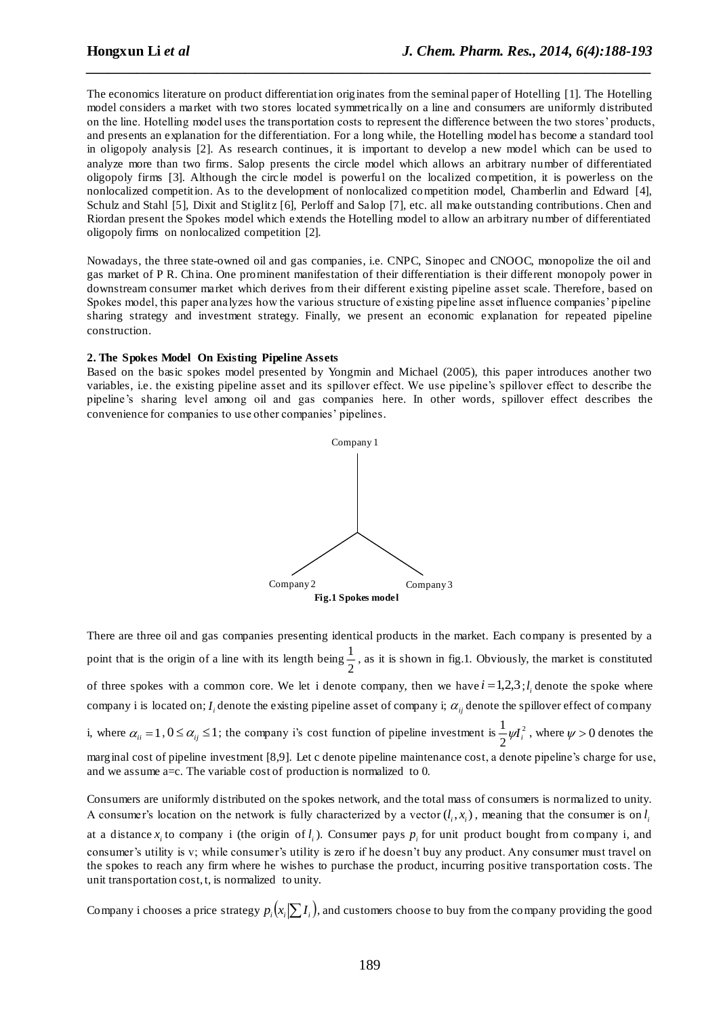The economics literature on product differentiation originates from the seminal paper of Hotelling [1]. The Hotelling model considers a market with two stores located symmetrically on a line and consumers are uniformly distributed on the line. Hotelling model uses the transportation costs to represent the difference between the two stores' products, and presents an explanation for the differentiation. For a long while, the Hotelling model ha s become a standard tool in oligopoly analysis [2]. As research continues, it is important to develop a new model which can be used to analyze more than two firms. Salop presents the circle model which allows an arbitrary number of differentiated oligopoly firms [3]. Although the circle model is powerful on the localized competition, it is powerless on the nonlocalized competition. As to the development of nonlocalized competition model, Chamberlin and Edward [4], Schulz and Stahl [5], Dixit and Stiglitz [6], Perloff and Salop [7], etc. all make outstanding contributions. Chen and Riordan present the Spokes model which extends the Hotelling model to allow an arbitrary number of differentiated oligopoly firms on nonlocalized competition [2].

*\_\_\_\_\_\_\_\_\_\_\_\_\_\_\_\_\_\_\_\_\_\_\_\_\_\_\_\_\_\_\_\_\_\_\_\_\_\_\_\_\_\_\_\_\_\_\_\_\_\_\_\_\_\_\_\_\_\_\_\_\_\_\_\_\_\_\_\_\_\_\_\_\_\_\_\_\_\_*

Nowadays, the three state-owned oil and gas companies, i.e. CNPC, Sinopec and CNOOC, monopolize the oil and gas market of P R. China. One prominent manifestation of their differentiation is their different monopoly power in downstream consumer market which derives from their different existing pipeline asset scale. Therefore, based on Spokes model, this paper analyzes how the various structure of existing pipeline asset influence companies' pipeline sharing strategy and investment strategy. Finally, we present an economic explanation for repeated pipeline construction.

#### **2. The Spokes Model On Existing Pipeline Assets**

Based on the basic spokes model presented by Yongmin and Michael (2005), this paper introduces another two variables, i.e. the existing pipeline asset and its spillover effect. We use pipeline's spillover effect to describe the pipeline's sharing level among oil and gas companies here. In other words, spillover effect describes the convenience for companies to use other companies' pipelines.



There are three oil and gas companies presenting identical products in the market. Each company is presented by a point that is the origin of a line with its length being  $\frac{1}{2}$  $\frac{1}{x}$ , as it is shown in fig.1. Obviously, the market is constituted of three spokes with a common core. We let i denote company, then we have  $i = 1,2,3; l<sub>i</sub>$  denote the spoke where company i is located on;  $I_i$  denote the existing pipeline asset of company i;  $\alpha_{_{ij}}$  denote the spillover effect of company i, where  $\alpha_{ii} = 1$ ,  $0 \le \alpha_{ij} \le 1$ ; the company i's cost function of pipeline investment is  $\frac{1}{2} \psi I_i^2$ 2  $\frac{1}{2}\psi I_i^2$ , where  $\psi > 0$  denotes the marginal cost of pipeline investment [8,9]. Let c denote pipeline maintenance cost, a denote pipeline's charge for use, and we assume a=c. The variable cost of production is normalized to 0.

Consumers are uniformly distributed on the spokes network, and the total mass of consumers is normalized to unity. A consumer's location on the network is fully characterized by a vector  $(l_i, x_i)$ , meaning that the consumer is on  $l_i$ 

at a distance  $x_i$  to company i (the origin of  $l_i$ ). Consumer pays  $p_i$  for unit product bought from company i, and consumer's utility is v; while consumer's utility is zero if he doesn't buy any product. Any consumer must travel on the spokes to reach any firm where he wishes to purchase the product, incurring positive transportation costs. The unit transportation cost, t, is normalized to unity.

Company i chooses a price strategy  $p_i(x_i|\sum I_i)$ , and customers choose to buy from the company providing the good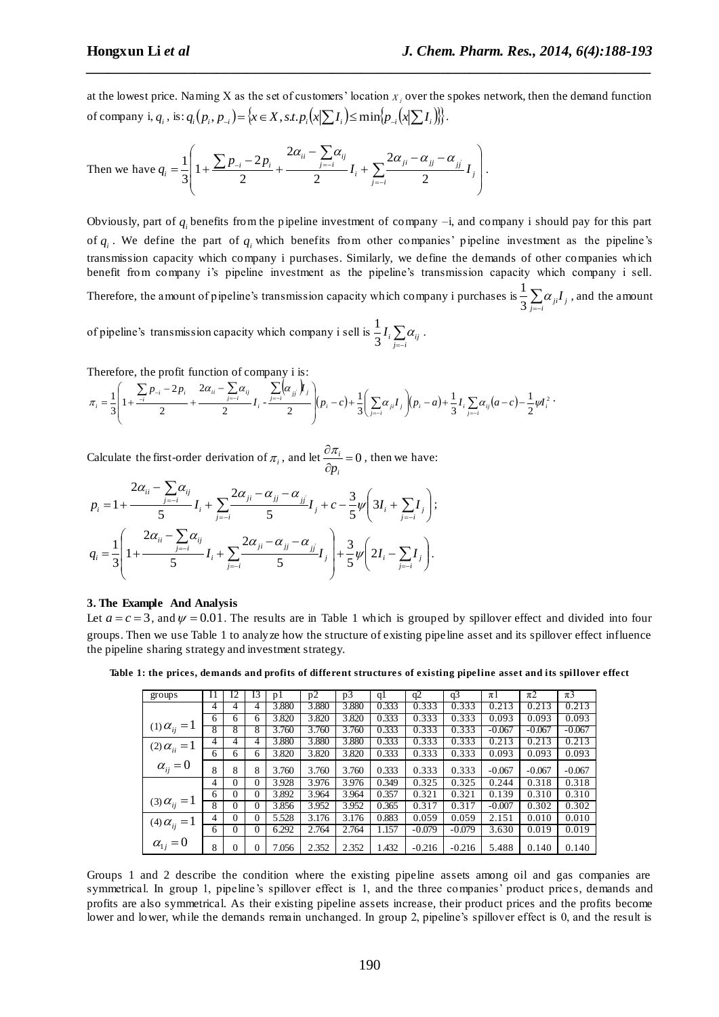at the lowest price. Naming X as the set of customers' location  $x_i$  over the spokes network, then the demand function of company i,  $q_i$ , is:  $q_i(p_i, p_{-i}) = \{x \in X, s.t. p_i(x | \sum I_i) \le \min\{p_{-i}(x | \sum I_i)\}\}.$ 

*\_\_\_\_\_\_\_\_\_\_\_\_\_\_\_\_\_\_\_\_\_\_\_\_\_\_\_\_\_\_\_\_\_\_\_\_\_\_\_\_\_\_\_\_\_\_\_\_\_\_\_\_\_\_\_\_\_\_\_\_\_\_\_\_\_\_\_\_\_\_\_\_\_\_\_\_\_\_*

Then we have 
$$
q_i = \frac{1}{3} \left( 1 + \frac{\sum p_{-i} - 2p_i}{2} + \frac{2\alpha_{ii} - \sum_{j=-i}^{\infty} \alpha_{ij}}{2} I_i + \sum_{j=-i}^{\infty} \frac{2\alpha_{ji} - \alpha_{jj} - \alpha_{jj}}{2} I_j \right).
$$

Obviously, part of  $q_i$  benefits from the pipeline investment of company  $-i$ , and company i should pay for this part of  $q_i$ . We define the part of  $q_i$  which benefits from other companies' pipeline investment as the pipeline's transmission capacity which company i purchases. Similarly, we define the demands of other companies which benefit from company i's pipeline investment as the pipeline's transmission capacity which company i sell. Therefore, the amount of pipeline's transmission capacity which company i purchases is  $\frac{1}{3} \sum_{j=i}^n \alpha_{ji} I_j$  $\frac{1}{2} \sum \alpha_{ii} I_i$ , and the amount of pipeline's transmission capacity which company i sell is  $\frac{1}{3}I_i\sum_{j=i}^N \alpha_{ij}$  $\frac{1}{2}I_i\sum\alpha_{ii}$ .

Therefore, the profit function of company i is:  
\n
$$
\pi_i = \frac{1}{3} \left( 1 + \frac{\sum_{j=1}^{n} P_{-i} - 2p_i}{2} + \frac{2\alpha_{ii} - \sum_{j=i}^{n} \alpha_{ij}}{2} I_i - \frac{\sum_{j=i}^{n} (\alpha_{jj} \dot{r}_{j})}{2} \right) (p_i - c) + \frac{1}{3} \left( \sum_{j=i}^{n} \alpha_{ji} I_j \right) (p_i - a) + \frac{1}{3} I_i \sum_{j=i}^{n} \alpha_{ij} (a - c) - \frac{1}{2} \gamma I_i^2
$$

Calculate the first-order derivation of  $\pi_i$ , and let  $\frac{\partial n_i}{\partial x_i} = 0$  $\partial$  $\partial \pi_i$ *i p*  $\frac{\pi_i}{\sigma} = 0$ , then we have:

$$
p_{i} = 1 + \frac{2\alpha_{ii} - \sum_{j=-i}^{2} \alpha_{ij}}{5} I_{i} + \sum_{j=-i}^{2} \frac{2\alpha_{ji} - \alpha_{jj} - \alpha_{jj}}{5} I_{j} + c - \frac{3}{5} \psi \left( 3I_{i} + \sum_{j=-i}^{2} I_{j} \right);
$$
  
\n
$$
q_{i} = \frac{1}{3} \left( 1 + \frac{2\alpha_{ii} - \sum_{j=-i}^{2} \alpha_{ij}}{5} I_{i} + \sum_{j=-i}^{2} \frac{2\alpha_{ji} - \alpha_{jj} - \alpha_{jj}}{5} I_{j} \right) + \frac{3}{5} \psi \left( 2I_{i} - \sum_{j=-i}^{2} I_{j} \right).
$$

#### **3. The Example And Analysis**

Let  $a = c = 3$ , and  $\psi = 0.01$ . The results are in Table 1 which is grouped by spillover effect and divided into four groups. Then we use Table 1 to analyze how the structure of existing pipeline asset and its spillover effect influence the pipeline sharing strategy and investment strategy.

**Table 1: the price s, demands and profits of different structure s of existing pipeline asset and its spillover effect**

| groups                | 11 | 12           | <b>I3</b>    | pl    | p2    | p3    | ql    | q2       | q3       | πl       | $\pi$ 2  | $\pi$ 3  |
|-----------------------|----|--------------|--------------|-------|-------|-------|-------|----------|----------|----------|----------|----------|
|                       | 4  | 4            | 4            | 3.880 | 3.880 | 3.880 | 0.333 | 0.333    | 0.333    | 0.213    | 0.213    | 0.213    |
| (1) $\alpha_{ij} = 1$ | 6  | 6            | 6            | 3.820 | 3.820 | 3.820 | 0.333 | 0.333    | 0.333    | 0.093    | 0.093    | 0.093    |
|                       | 8  | 8            | 8            | 3.760 | 3.760 | 3.760 | 0.333 | 0.333    | 0.333    | $-0.067$ | $-0.067$ | $-0.067$ |
| (2) $\alpha_{ii} = 1$ | 4  | 4            | 4            | 3.880 | 3.880 | 3.880 | 0.333 | 0.333    | 0.333    | 0.213    | 0.213    | 0.213    |
|                       | 6  | 6            | 6            | 3.820 | 3.820 | 3.820 | 0.333 | 0.333    | 0.333    | 0.093    | 0.093    | 0.093    |
| $\alpha_{ij} = 0$     | 8  | 8            | 8            | 3.760 | 3.760 | 3.760 | 0.333 | 0.333    | 0.333    | $-0.067$ | $-0.067$ | $-0.067$ |
|                       | 4  | $\theta$     | $\mathbf{0}$ | 3.928 | 3.976 | 3.976 | 0.349 | 0.325    | 0.325    | 0.244    | 0.318    | 0.318    |
| (3) $\alpha_{ij} = 1$ | 6  | $\Omega$     | $\Omega$     | 3.892 | 3.964 | 3.964 | 0.357 | 0.321    | 0.321    | 0.139    | 0.310    | 0.310    |
|                       | 8  | $\Omega$     | 0            | 3.856 | 3.952 | 3.952 | 0.365 | 0.317    | 0.317    | $-0.007$ | 0.302    | 0.302    |
| (4) $\alpha_{ij} = 1$ | 4  | $\theta$     | $\Omega$     | 5.528 | 3.176 | 3.176 | 0.883 | 0.059    | 0.059    | 2.151    | 0.010    | 0.010    |
|                       | 6  | $\mathbf{0}$ | $\mathbf{0}$ | 6.292 | 2.764 | 2.764 | 1.157 | $-0.079$ | $-0.079$ | 3.630    | 0.019    | 0.019    |
| $\alpha_{1i} = 0$     | 8  | $\theta$     | 0            | 7.056 | 2.352 | 2.352 | 1.432 | $-0.216$ | $-0.216$ | 5.488    | 0.140    | 0.140    |

Groups 1 and 2 describe the condition where the existing pipeline assets among oil and gas companies are symmetrical. In group 1, pipeline's spillover effect is 1, and the three companies' product price s, demands and profits are also symmetrical. As their existing pipeline assets increase, their product prices and the profits become lower and lower, while the demands remain unchanged. In group 2, pipeline's spillover effect is 0, and the result is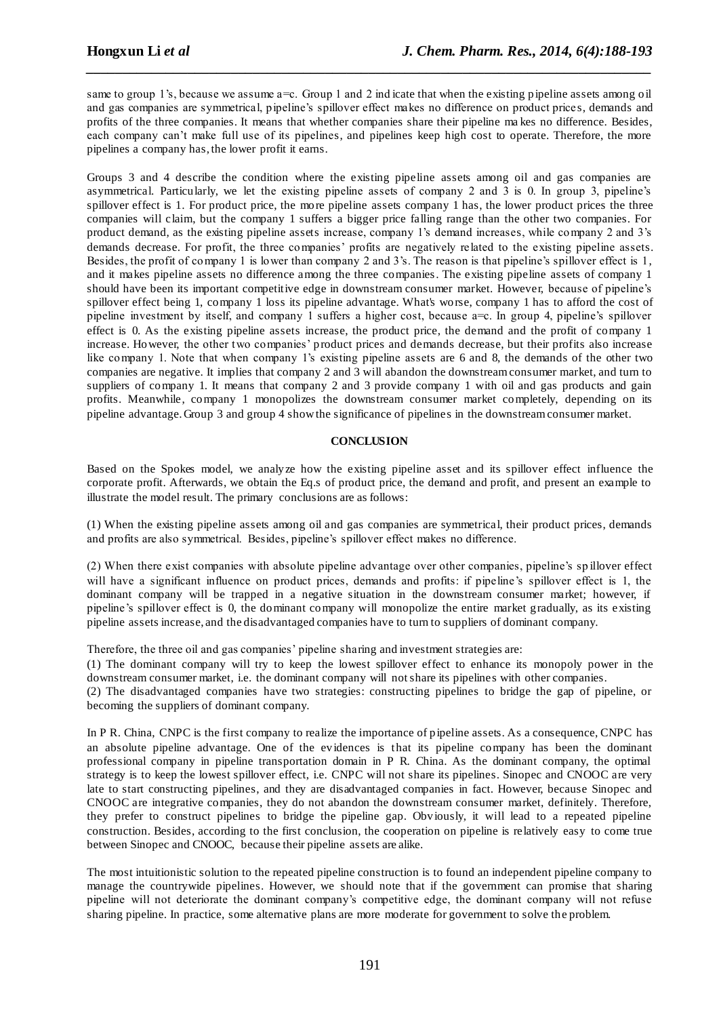same to group 1's, because we assume a=c. Group 1 and 2 ind icate that when the existing pipeline assets among oil and gas companies are symmetrical, pipeline's spillover effect makes no difference on product price s, demands and profits of the three companies. It means that whether companies share their pipeline ma kes no difference. Besides, each company can't make full use of its pipelines, and pipelines keep high cost to operate. Therefore, the more pipelines a company has, the lower profit it earns.

*\_\_\_\_\_\_\_\_\_\_\_\_\_\_\_\_\_\_\_\_\_\_\_\_\_\_\_\_\_\_\_\_\_\_\_\_\_\_\_\_\_\_\_\_\_\_\_\_\_\_\_\_\_\_\_\_\_\_\_\_\_\_\_\_\_\_\_\_\_\_\_\_\_\_\_\_\_\_*

Groups 3 and 4 describe the condition where the existing pipeline assets among oil and gas companies are asymmetrical. Particularly, we let the existing pipeline assets of company 2 and 3 is 0. In group 3, pipeline's spillover effect is 1. For product price, the more pipeline assets company 1 has, the lower product prices the three companies will claim, but the company 1 suffers a bigger price falling range than the other two companies. For product demand, as the existing pipeline assets increase, company 1's demand increases, while company 2 and 3's demands decrease. For profit, the three companies' profits are negatively related to the existing pipeline assets. Besides, the profit of company 1 is lower than company 2 and 3's. The reason is that pipeline's spillover effect is 1, and it makes pipeline assets no difference among the three companies. The existing pipeline assets of company 1 should have been its important competitive edge in downstream consumer market. However, because of pipeline's spillover effect being 1, company 1 loss its pipeline advantage. What's worse, company 1 has to afford the cost of pipeline investment by itself, and company 1 suffers a higher cost, because a=c. In group 4, pipeline's spillover effect is 0. As the existing pipeline assets increase, the product price, the demand and the profit of company 1 increase. However, the other two companies' product prices and demands decrease, but their profits also increase like company 1. Note that when company 1's existing pipeline assets are 6 and 8, the demands of the other two companies are negative. It implies that company 2 and 3 will abandon the downstream consumer market, and turn to suppliers of company 1. It means that company 2 and 3 provide company 1 with oil and gas products and gain profits. Meanwhile, company 1 monopolizes the downstream consumer market completely, depending on its pipeline advantage. Group 3 and group 4 show the significance of pipelines in the downstream consumer market.

#### **CONCLUSION**

Based on the Spokes model, we analyze how the existing pipeline asset and its spillover effect influence the corporate profit. Afterwards, we obtain the Eq.s of product price, the demand and profit, and present an example to illustrate the model result. The primary conclusions are as follows:

(1) When the existing pipeline assets among oil and gas companies are symmetrical, their product prices, demands and profits are also symmetrical. Besides, pipeline's spillover effect makes no difference.

(2) When there exist companies with absolute pipeline advantage over other companies, pipeline's sp illover effect will have a significant influence on product prices, demands and profits: if pipeline's spillover effect is 1, the dominant company will be trapped in a negative situation in the downstream consumer market; however, if pipeline's spillover effect is 0, the dominant company will monopolize the entire market gradually, as its existing pipeline assets increase, and the disadvantaged companies have to turn to suppliers of dominant company.

Therefore, the three oil and gas companies' pipeline sharing and investment strategies are:

(1) The dominant company will try to keep the lowest spillover effect to enhance its monopoly power in the downstream consumer market, i.e. the dominant company will not share its pipelines with other companies.

(2) The disadvantaged companies have two strategies: constructing pipelines to bridge the gap of pipeline, or becoming the suppliers of dominant company.

In P R. China, CNPC is the first company to realize the importance of pipeline assets. As a consequence, CNPC has an absolute pipeline advantage. One of the evidences is that its pipeline company has been the dominant professional company in pipeline transportation domain in P R. China. As the dominant company, the optimal strategy is to keep the lowest spillover effect, i.e. CNPC will not share its pipelines. Sinopec and CNOOC are very late to start constructing pipelines, and they are disadvantaged companies in fact. However, because Sinopec and CNOOC are integrative companies, they do not abandon the downstream consumer market, definitely. Therefore, they prefer to construct pipelines to bridge the pipeline gap. Obviously, it will lead to a repeated pipeline construction. Besides, according to the first conclusion, the cooperation on pipeline is relatively easy to come true between Sinopec and CNOOC, because their pipeline assets are alike.

The most intuitionistic solution to the repeated pipeline construction is to found an independent pipeline company to manage the countrywide pipelines. However, we should note that if the government can promise that sharing pipeline will not deteriorate the dominant company's competitive edge, the dominant company will not refuse sharing pipeline. In practice, some alternative plans are more moderate for government to solve the problem.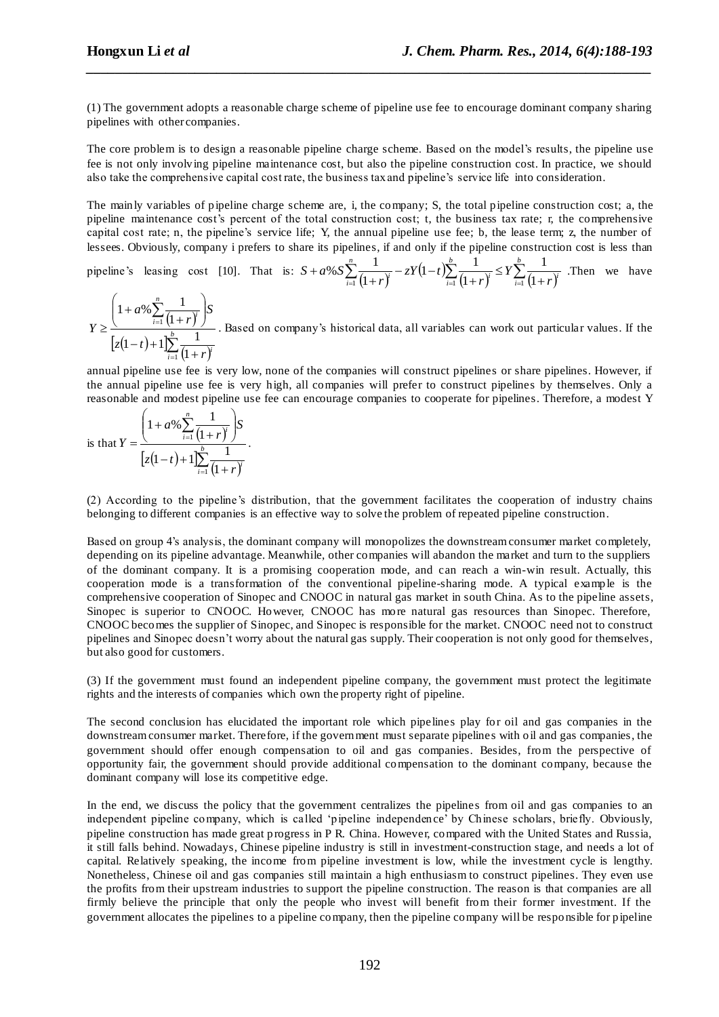(1) The government adopts a reasonable charge scheme of pipeline use fee to encourage dominant company sharing pipelines with other companies.

*\_\_\_\_\_\_\_\_\_\_\_\_\_\_\_\_\_\_\_\_\_\_\_\_\_\_\_\_\_\_\_\_\_\_\_\_\_\_\_\_\_\_\_\_\_\_\_\_\_\_\_\_\_\_\_\_\_\_\_\_\_\_\_\_\_\_\_\_\_\_\_\_\_\_\_\_\_\_*

The core problem is to design a reasonable pipeline charge scheme. Based on the model's results, the pipeline use fee is not only involving pipeline maintenance cost, but also the pipeline construction cost. In practice, we should also take the comprehensive capital cost rate, the business tax and pipeline's service life into consideration.

The mainly variables of pipeline charge scheme are, i, the company; S, the total pipeline construction cost; a, the pipeline maintenance cost's percent of the total construction cost; t, the business tax rate; r, the comprehensive capital cost rate; n, the pipeline's service life; Y, the annual pipeline use fee; b, the lease term; z, the number of lessees. Obviously, company i prefers to share its pipelines, if and only if the pipeline construction cost is less than

pipeline's leasing cost [10]. That is:  $S + a\%S \sum_{i=1}^{n} \frac{1}{(1+r)^i}$  $(1-t)$  $\sum_{i=1}^n \frac{1}{(1+r)^i} - zY(1-t) \sum_{i=1}^n \frac{1}{(1+r)^i} \leq Y \sum_{i=1}^n \frac{1}{(1+r)^i}$  $^{+}$  $-zY(1-\$  $^{+}$  $+a\% S\sum_{i=1}^{n}\frac{1}{(b-a)^{i}}-zY(1-t)\sum_{i=1}^{b}\frac{1}{(b-a)^{i}}\leq Y\sum_{i=1}^{b}$  $\sum_{i=1}^{r} (1+r)^i$ *b*  $\sum_{i=1}^{l} (1+r)^i$ *n*  $\sum_{i=1}^{n} (1+r)^{i}$   $\sum_{i=1}^{n} (1+r)^{i}$   $\sum_{i=1}^{n} (1+r)^{i}$ *Y r*  $zY(1-t$ *r*  $S + a\%S$  $\frac{1}{11}(1+r)^i$   $\sum_{i=1}^{r} (1+r)^i$   $\sum_{i=1}^{r} (1+r)^i$ 1  $\left( \mathbf{1}\right)$  $(1-t)\sum_{l=1}^{b} \frac{1}{t}$  $\left( \frac{1}{2} \right)$ % $S\sum_{i=1}^{n}\frac{1}{(1+i)^{b}}-zY(1-i)\sum_{i=1}^{b}\frac{1}{(1+i)^{c}} \leq Y\sum_{i=1}^{b}\frac{1}{(1+i)^{c}}$ . Then we have

 $(1+r)^{t}$  $|z(1-t)+1|$  $\sum_{i=1}^{\infty} \frac{1}{(1+r)^i}$  $\sum$  $\overline{a}$  $\overline{a}$  $^{+}$  $-t$ )+  $\overline{\phantom{a}}$  $\overline{\phantom{a}}$  $\mathcal{L}$  $\overline{\phantom{a}}$  $\overline{\mathcal{L}}$ ſ  $^{+}$  $^{+}$  $\geq \frac{1}{\sum_{b=1}^{b} a_b}$  $\sum_{i=1}^{l} (1+r)^i$ *n*  $\sum_{i=1}^{l} (1+r)^i$ *r*  $z(1-t)$ *S r a Y* 1 1 1  $(1-t)+1\sum_{i=1}^{b} \frac{1}{t_i}$  $\left( \frac{1}{2} \right)$  $1 + a\% \sum_{1}^{n} \frac{1}{4}$ . Based on company's historical data, all variables can work out particular values. If the

annual pipeline use fee is very low, none of the companies will construct pipelines or share pipelines. However, if the annual pipeline use fee is very high, all companies will prefer to construct pipelines by themselves. Only a reasonable and modest pipeline use fee can encourage companies to cooperate for pipelines. Therefore, a modest Y

is that 
$$
Y = \frac{\left(1 + a\% \sum_{i=1}^{n} \frac{1}{(1+r)^{i}}\right)S}{\left[z(1-t) + 1\right] \sum_{i=1}^{n} \frac{1}{(1+r)^{i}}}
$$

(2) According to the pipeline's distribution, that the government facilitates the cooperation of industry chains belonging to different companies is an effective way to solve the problem of repeated pipeline construction.

Based on group 4's analysis, the dominant company will monopolizes the downstream consumer market completely, depending on its pipeline advantage. Meanwhile, other companies will abandon the market and turn to the suppliers of the dominant company. It is a promising cooperation mode, and can reach a win-win result. Actually, this cooperation mode is a transformation of the conventional pipeline-sharing mode. A typical example is the comprehensive cooperation of Sinopec and CNOOC in natural gas market in south China. As to the pipeline assets, Sinopec is superior to CNOOC. However, CNOOC has more natural gas resources than Sinopec. Therefore, CNOOC becomes the supplier of Sinopec, and Sinopec is responsible for the market. CNOOC need not to construct pipelines and Sinopec doesn't worry about the natural gas supply. Their cooperation is not only good for themselves, but also good for customers.

(3) If the government must found an independent pipeline company, the government must protect the legitimate rights and the interests of companies which own the property right of pipeline.

The second conclusion has elucidated the important role which pipelines play for oil and gas companies in the downstream consumer market. Therefore, if the government must separate pipelines with oil and gas companies, the government should offer enough compensation to oil and gas companies. Besides, from the perspective of opportunity fair, the government should provide additional compensation to the dominant company, because the dominant company will lose its competitive edge.

In the end, we discuss the policy that the government centralizes the pipelines from oil and gas companies to an independent pipeline company, which is called 'pipeline independence' by Chinese scholars, briefly. Obviously, pipeline construction has made great progress in P R. China. However, compared with the United States and Russia, it still falls behind. Nowadays, Chinese pipeline industry is still in investment-construction stage, and needs a lot of capital. Relatively speaking, the income from pipeline investment is low, while the investment cycle is lengthy. Nonetheless, Chinese oil and gas companies still maintain a high enthusiasm to construct pipelines. They even use the profits from their upstream industries to support the pipeline construction. The reason is that companies are all firmly believe the principle that only the people who invest will benefit from their former investment. If the government allocates the pipelines to a pipeline company, then the pipeline company will be responsible for pipeline